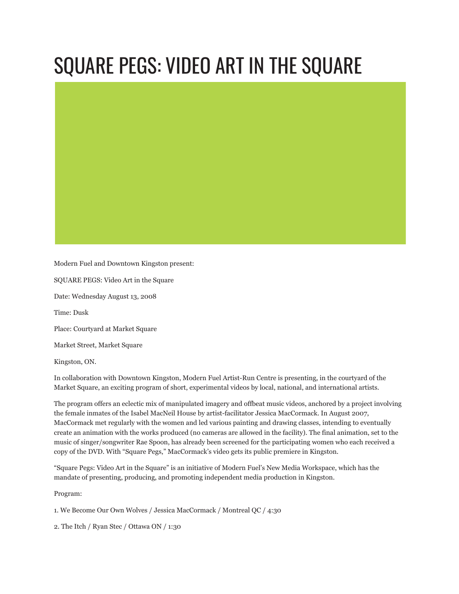## SQUARE PEGS: VIDEO ART IN THE SQUARE

Modern Fuel and Downtown Kingston present:

SQUARE PEGS: Video Art in the Square

Date: Wednesday August 13, 2008

Time: Dusk

Place: Courtyard at Market Square

Market Street, Market Square

Kingston, ON.

In collaboration with Downtown Kingston, Modern Fuel Artist-Run Centre is presenting, in the courtyard of the Market Square, an exciting program of short, experimental videos by local, national, and international artists.

The program offers an eclectic mix of manipulated imagery and offbeat music videos, anchored by a project involving the female inmates of the Isabel MacNeil House by artist-facilitator Jessica MacCormack. In August 2007, MacCormack met regularly with the women and led various painting and drawing classes, intending to eventually create an animation with the works produced (no cameras are allowed in the facility). The final animation, set to the music of singer/songwriter Rae Spoon, has already been screened for the participating women who each received a copy of the DVD. With "Square Pegs," MacCormack's video gets its public premiere in Kingston.

"Square Pegs: Video Art in the Square" is an initiative of Modern Fuel's New Media Workspace, which has the mandate of presenting, producing, and promoting independent media production in Kingston.

Program:

1. We Become Our Own Wolves / Jessica MacCormack / Montreal QC / 4:30

2. The Itch / Ryan Stec / Ottawa ON / 1:30